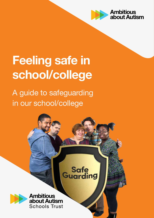

#### **Ambitious** about Autism

# Feeling safe in school/college

A guide to safeguarding in our school/college

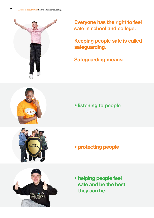

Everyone has the right to feel safe in school and college.

Keeping people safe is called safeguarding.

Safeguarding means:

• listening to people



• protecting people



• helping people feel safe and be the best they can be.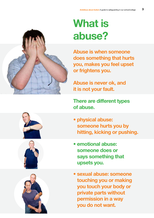

## What is abuse?

Abuse is when someone does something that hurts you, makes you feel upset or frightens you.

Abuse is never ok, and it is not your fault.

There are different types of abuse.

- physical abuse: someone hurts you by hitting, kicking or pushing.
- emotional abuse: someone does or says something that upsets you.
- sexual abuse: someone touching you or making you touch your body or private parts without permission in a way you do not want.





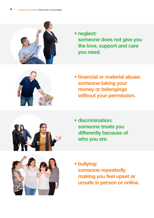

• neglect: someone does not give you the love, support and care you need.



• financial or material abuse: someone taking your money or belongings without your permission.



• discrimination: someone treats you differently because of who you are.



• bullying: someone repeatedly making you feel upset or unsafe in person or online.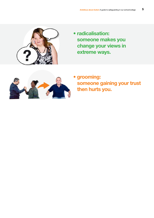

• radicalisation: someone makes you change your views in extreme ways.



• grooming: someone gaining your trust then hurts you.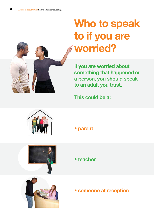

## Who to speak to if you are worried?

If you are worried about something that happened or a person, you should speak to an adult you trust.

This could be a:



• parent





• teacher

• someone at reception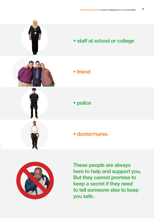



### • friend

• police





These people are always here to help and support you. But they cannot promise to keep a secret if they need to tell someone else to keep you safe.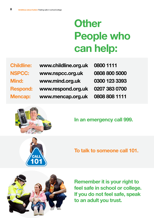## **Other** People who can help:

| <b>Childline:</b> | www.childline.org.uk | 0800 1111     |
|-------------------|----------------------|---------------|
| <b>NSPCC:</b>     | www.nspcc.org.uk     | 0808 800 5000 |
| <b>Mind:</b>      | www.mind.org.uk      | 0300 123 3393 |
| <b>Respond:</b>   | www.respond.org.uk   | 0207 383 0700 |
| <b>Mencap:</b>    | www.mencap.org.uk    | 0808 808 1111 |



In an emergency call 999.

To talk to someone call 101.



Remember it is your right to feel safe in school or college. If you do not feel safe, speak to an adult you trust.